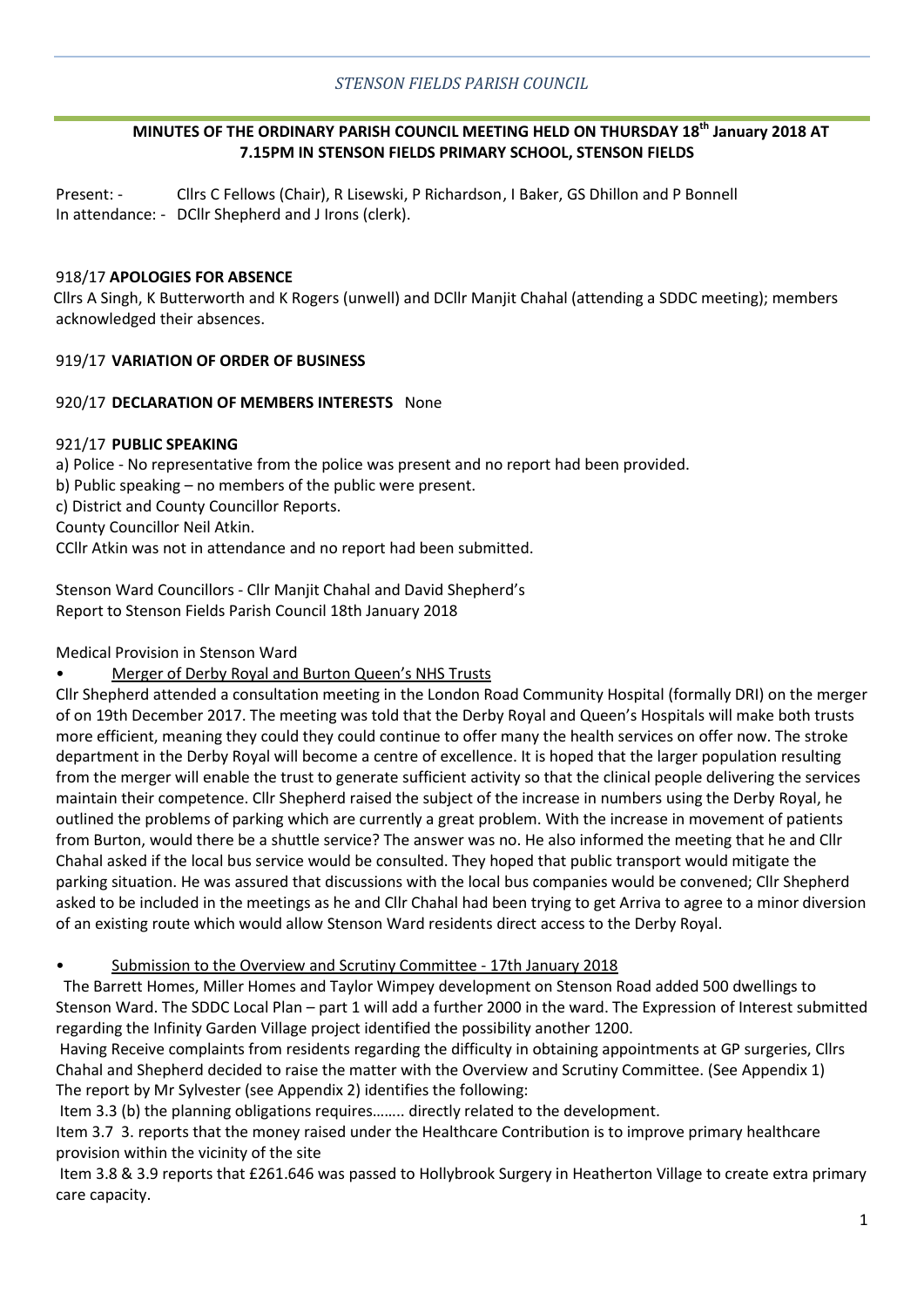# **MINUTES OF THE ORDINARY PARISH COUNCIL MEETING HELD ON THURSDAY 18th January 2018 AT 7.15PM IN STENSON FIELDS PRIMARY SCHOOL, STENSON FIELDS**

Present: - Cllrs C Fellows (Chair), R Lisewski, P Richardson, I Baker, GS Dhillon and P Bonnell In attendance: - DCllr Shepherd and J Irons (clerk).

## 918/17 **APOLOGIES FOR ABSENCE**

Cllrs A Singh, K Butterworth and K Rogers (unwell) and DCllr Manjit Chahal (attending a SDDC meeting); members acknowledged their absences.

## 919/17 **VARIATION OF ORDER OF BUSINESS**

## 920/17 **DECLARATION OF MEMBERS INTERESTS** None

## 921/17 **PUBLIC SPEAKING**

a) Police - No representative from the police was present and no report had been provided.

b) Public speaking – no members of the public were present.

c) District and County Councillor Reports.

County Councillor Neil Atkin.

CCllr Atkin was not in attendance and no report had been submitted.

Stenson Ward Councillors - Cllr Manjit Chahal and David Shepherd's Report to Stenson Fields Parish Council 18th January 2018

Medical Provision in Stenson Ward

• Merger of Derby Royal and Burton Queen's NHS Trusts

Cllr Shepherd attended a consultation meeting in the London Road Community Hospital (formally DRI) on the merger of on 19th December 2017. The meeting was told that the Derby Royal and Queen's Hospitals will make both trusts more efficient, meaning they could they could continue to offer many the health services on offer now. The stroke department in the Derby Royal will become a centre of excellence. It is hoped that the larger population resulting from the merger will enable the trust to generate sufficient activity so that the clinical people delivering the services maintain their competence. Cllr Shepherd raised the subject of the increase in numbers using the Derby Royal, he outlined the problems of parking which are currently a great problem. With the increase in movement of patients from Burton, would there be a shuttle service? The answer was no. He also informed the meeting that he and Cllr Chahal asked if the local bus service would be consulted. They hoped that public transport would mitigate the parking situation. He was assured that discussions with the local bus companies would be convened; Cllr Shepherd asked to be included in the meetings as he and Cllr Chahal had been trying to get Arriva to agree to a minor diversion of an existing route which would allow Stenson Ward residents direct access to the Derby Royal.

• Submission to the Overview and Scrutiny Committee - 17th January 2018

 The Barrett Homes, Miller Homes and Taylor Wimpey development on Stenson Road added 500 dwellings to Stenson Ward. The SDDC Local Plan – part 1 will add a further 2000 in the ward. The Expression of Interest submitted regarding the Infinity Garden Village project identified the possibility another 1200.

Having Receive complaints from residents regarding the difficulty in obtaining appointments at GP surgeries, Cllrs Chahal and Shepherd decided to raise the matter with the Overview and Scrutiny Committee. (See Appendix 1) The report by Mr Sylvester (see Appendix 2) identifies the following:

Item 3.3 (b) the planning obligations requires…….. directly related to the development.

Item 3.7 3. reports that the money raised under the Healthcare Contribution is to improve primary healthcare provision within the vicinity of the site

Item 3.8 & 3.9 reports that £261.646 was passed to Hollybrook Surgery in Heatherton Village to create extra primary care capacity.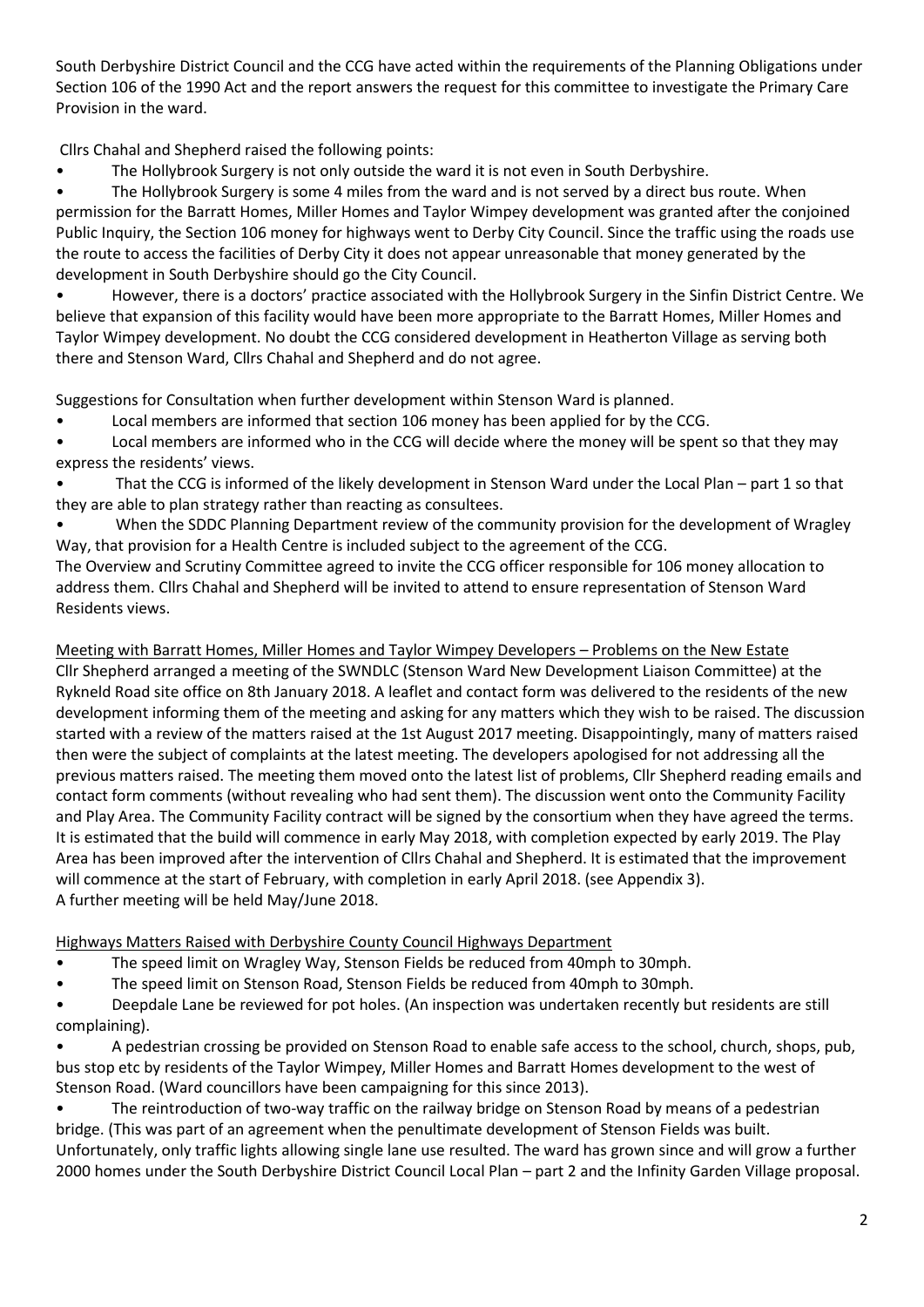South Derbyshire District Council and the CCG have acted within the requirements of the Planning Obligations under Section 106 of the 1990 Act and the report answers the request for this committee to investigate the Primary Care Provision in the ward.

Cllrs Chahal and Shepherd raised the following points:

• The Hollybrook Surgery is not only outside the ward it is not even in South Derbyshire.

The Hollybrook Surgery is some 4 miles from the ward and is not served by a direct bus route. When permission for the Barratt Homes, Miller Homes and Taylor Wimpey development was granted after the conjoined Public Inquiry, the Section 106 money for highways went to Derby City Council. Since the traffic using the roads use the route to access the facilities of Derby City it does not appear unreasonable that money generated by the development in South Derbyshire should go the City Council.

• However, there is a doctors' practice associated with the Hollybrook Surgery in the Sinfin District Centre. We believe that expansion of this facility would have been more appropriate to the Barratt Homes, Miller Homes and Taylor Wimpey development. No doubt the CCG considered development in Heatherton Village as serving both there and Stenson Ward, Cllrs Chahal and Shepherd and do not agree.

Suggestions for Consultation when further development within Stenson Ward is planned.

• Local members are informed that section 106 money has been applied for by the CCG.

Local members are informed who in the CCG will decide where the money will be spent so that they may express the residents' views.

- That the CCG is informed of the likely development in Stenson Ward under the Local Plan part 1 so that they are able to plan strategy rather than reacting as consultees.
- When the SDDC Planning Department review of the community provision for the development of Wragley Way, that provision for a Health Centre is included subject to the agreement of the CCG.

The Overview and Scrutiny Committee agreed to invite the CCG officer responsible for 106 money allocation to address them. Cllrs Chahal and Shepherd will be invited to attend to ensure representation of Stenson Ward Residents views.

Meeting with Barratt Homes, Miller Homes and Taylor Wimpey Developers – Problems on the New Estate Cllr Shepherd arranged a meeting of the SWNDLC (Stenson Ward New Development Liaison Committee) at the Rykneld Road site office on 8th January 2018. A leaflet and contact form was delivered to the residents of the new development informing them of the meeting and asking for any matters which they wish to be raised. The discussion started with a review of the matters raised at the 1st August 2017 meeting. Disappointingly, many of matters raised then were the subject of complaints at the latest meeting. The developers apologised for not addressing all the previous matters raised. The meeting them moved onto the latest list of problems, Cllr Shepherd reading emails and contact form comments (without revealing who had sent them). The discussion went onto the Community Facility and Play Area. The Community Facility contract will be signed by the consortium when they have agreed the terms. It is estimated that the build will commence in early May 2018, with completion expected by early 2019. The Play Area has been improved after the intervention of Cllrs Chahal and Shepherd. It is estimated that the improvement will commence at the start of February, with completion in early April 2018. (see Appendix 3). A further meeting will be held May/June 2018.

Highways Matters Raised with Derbyshire County Council Highways Department

- The speed limit on Wragley Way, Stenson Fields be reduced from 40mph to 30mph.
- The speed limit on Stenson Road, Stenson Fields be reduced from 40mph to 30mph.

• Deepdale Lane be reviewed for pot holes. (An inspection was undertaken recently but residents are still complaining).

• A pedestrian crossing be provided on Stenson Road to enable safe access to the school, church, shops, pub, bus stop etc by residents of the Taylor Wimpey, Miller Homes and Barratt Homes development to the west of Stenson Road. (Ward councillors have been campaigning for this since 2013).

The reintroduction of two-way traffic on the railway bridge on Stenson Road by means of a pedestrian bridge. (This was part of an agreement when the penultimate development of Stenson Fields was built. Unfortunately, only traffic lights allowing single lane use resulted. The ward has grown since and will grow a further 2000 homes under the South Derbyshire District Council Local Plan – part 2 and the Infinity Garden Village proposal.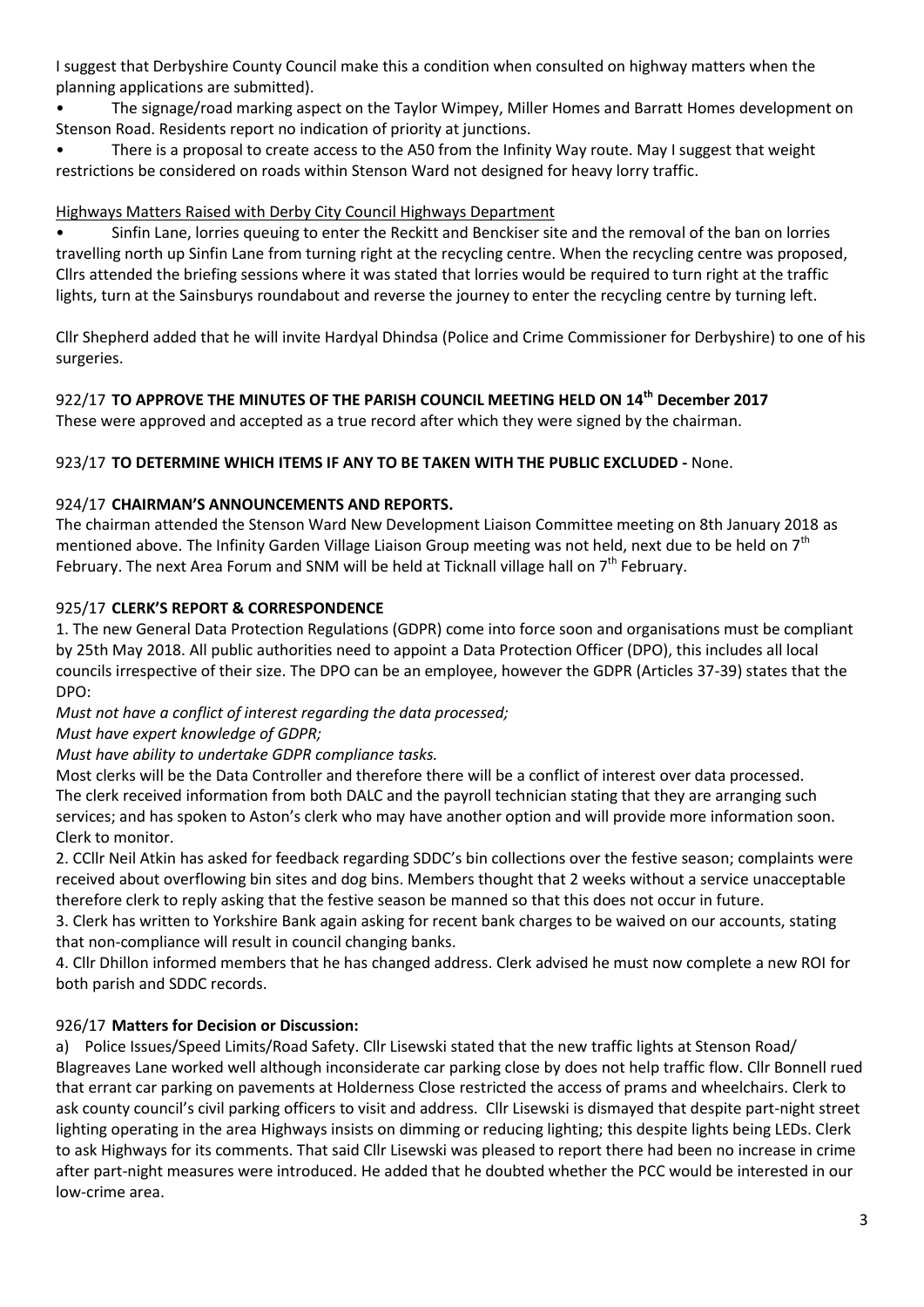I suggest that Derbyshire County Council make this a condition when consulted on highway matters when the planning applications are submitted).

• The signage/road marking aspect on the Taylor Wimpey, Miller Homes and Barratt Homes development on Stenson Road. Residents report no indication of priority at junctions.

• There is a proposal to create access to the A50 from the Infinity Way route. May I suggest that weight restrictions be considered on roads within Stenson Ward not designed for heavy lorry traffic.

# Highways Matters Raised with Derby City Council Highways Department

• Sinfin Lane, lorries queuing to enter the Reckitt and Benckiser site and the removal of the ban on lorries travelling north up Sinfin Lane from turning right at the recycling centre. When the recycling centre was proposed, Cllrs attended the briefing sessions where it was stated that lorries would be required to turn right at the traffic lights, turn at the Sainsburys roundabout and reverse the journey to enter the recycling centre by turning left.

Cllr Shepherd added that he will invite Hardyal Dhindsa (Police and Crime Commissioner for Derbyshire) to one of his surgeries.

922/17 **TO APPROVE THE MINUTES OF THE PARISH COUNCIL MEETING HELD ON 14th December 2017**

These were approved and accepted as a true record after which they were signed by the chairman.

# 923/17 **TO DETERMINE WHICH ITEMS IF ANY TO BE TAKEN WITH THE PUBLIC EXCLUDED -** None.

# 924/17 **CHAIRMAN'S ANNOUNCEMENTS AND REPORTS.**

The chairman attended the Stenson Ward New Development Liaison Committee meeting on 8th January 2018 as mentioned above. The Infinity Garden Village Liaison Group meeting was not held, next due to be held on 7<sup>th</sup> February. The next Area Forum and SNM will be held at Ticknall village hall on  $7<sup>th</sup>$  February.

# 925/17 **CLERK'S REPORT & CORRESPONDENCE**

1. The new General Data Protection Regulations (GDPR) come into force soon and organisations must be compliant by 25th May 2018. All public authorities need to appoint a Data Protection Officer (DPO), this includes all local councils irrespective of their size. The DPO can be an employee, however the GDPR (Articles 37-39) states that the DPO:

*Must not have a conflict of interest regarding the data processed;* 

*Must have expert knowledge of GDPR;*

*Must have ability to undertake GDPR compliance tasks.* 

Most clerks will be the Data Controller and therefore there will be a conflict of interest over data processed. The clerk received information from both DALC and the payroll technician stating that they are arranging such services; and has spoken to Aston's clerk who may have another option and will provide more information soon. Clerk to monitor.

2. CCllr Neil Atkin has asked for feedback regarding SDDC's bin collections over the festive season; complaints were received about overflowing bin sites and dog bins. Members thought that 2 weeks without a service unacceptable therefore clerk to reply asking that the festive season be manned so that this does not occur in future.

3. Clerk has written to Yorkshire Bank again asking for recent bank charges to be waived on our accounts, stating that non-compliance will result in council changing banks.

4. Cllr Dhillon informed members that he has changed address. Clerk advised he must now complete a new ROI for both parish and SDDC records.

# 926/17 **Matters for Decision or Discussion:**

a) Police Issues/Speed Limits/Road Safety. Cllr Lisewski stated that the new traffic lights at Stenson Road/ Blagreaves Lane worked well although inconsiderate car parking close by does not help traffic flow. Cllr Bonnell rued that errant car parking on pavements at Holderness Close restricted the access of prams and wheelchairs. Clerk to ask county council's civil parking officers to visit and address. Cllr Lisewski is dismayed that despite part-night street lighting operating in the area Highways insists on dimming or reducing lighting; this despite lights being LEDs. Clerk to ask Highways for its comments. That said Cllr Lisewski was pleased to report there had been no increase in crime after part-night measures were introduced. He added that he doubted whether the PCC would be interested in our low-crime area.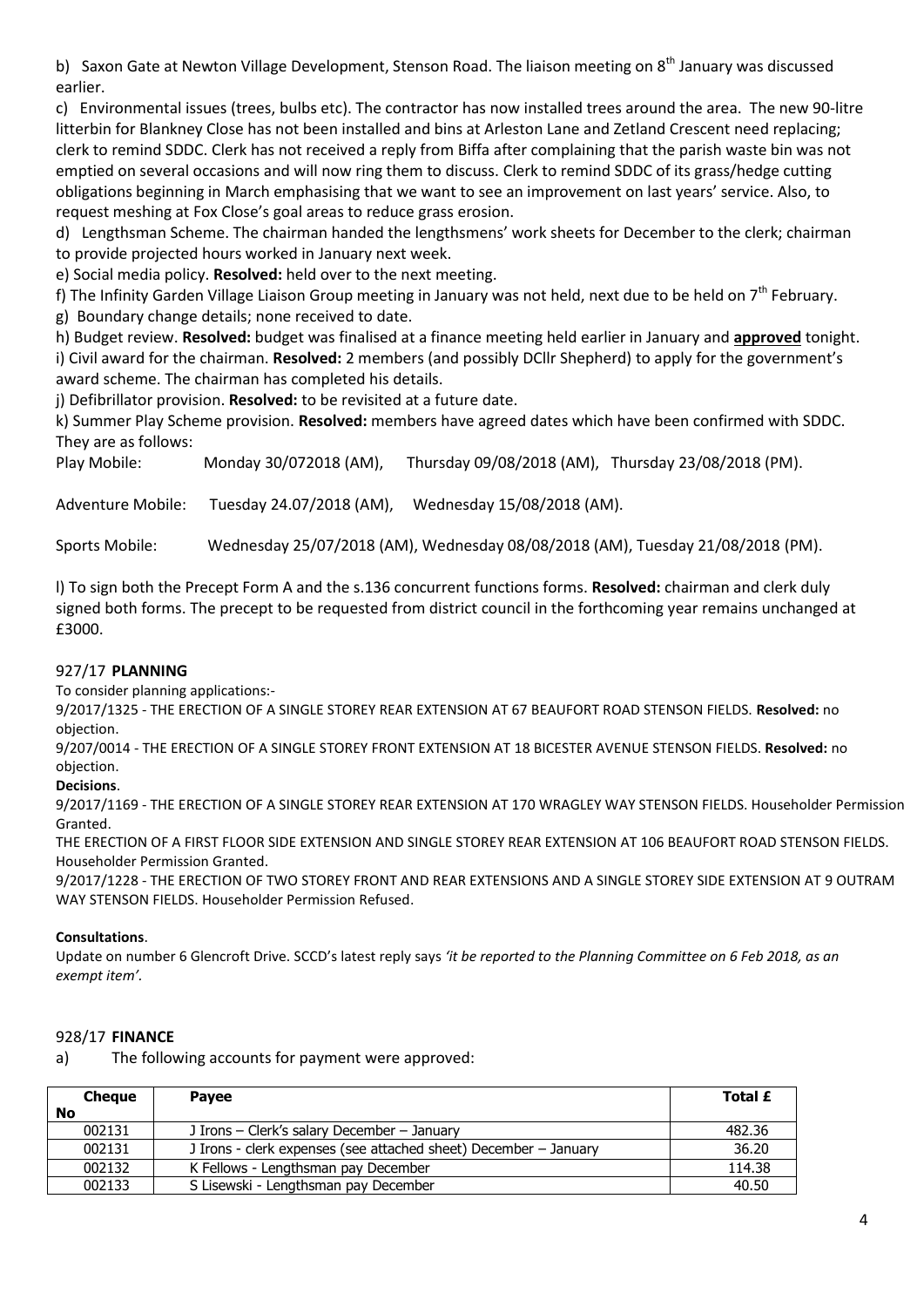b) Saxon Gate at Newton Village Development, Stenson Road. The liaison meeting on 8<sup>th</sup> January was discussed earlier.

c) Environmental issues (trees, bulbs etc). The contractor has now installed trees around the area. The new 90-litre litterbin for Blankney Close has not been installed and bins at Arleston Lane and Zetland Crescent need replacing; clerk to remind SDDC. Clerk has not received a reply from Biffa after complaining that the parish waste bin was not emptied on several occasions and will now ring them to discuss. Clerk to remind SDDC of its grass/hedge cutting obligations beginning in March emphasising that we want to see an improvement on last years' service. Also, to request meshing at Fox Close's goal areas to reduce grass erosion.

d) Lengthsman Scheme. The chairman handed the lengthsmens' work sheets for December to the clerk; chairman to provide projected hours worked in January next week.

e) Social media policy. **Resolved:** held over to the next meeting.

f) The Infinity Garden Village Liaison Group meeting in January was not held, next due to be held on  $7<sup>th</sup>$  February.

g) Boundary change details; none received to date.

h) Budget review. **Resolved:** budget was finalised at a finance meeting held earlier in January and **approved** tonight. i) Civil award for the chairman. **Resolved:** 2 members (and possibly DCllr Shepherd) to apply for the government's award scheme. The chairman has completed his details.

j) Defibrillator provision. **Resolved:** to be revisited at a future date.

k) Summer Play Scheme provision. **Resolved:** members have agreed dates which have been confirmed with SDDC. They are as follows:

Play Mobile: Monday 30/072018 (AM), Thursday 09/08/2018 (AM), Thursday 23/08/2018 (PM).

Adventure Mobile: Tuesday 24.07/2018 (AM), Wednesday 15/08/2018 (AM).

Sports Mobile: Wednesday 25/07/2018 (AM), Wednesday 08/08/2018 (AM), Tuesday 21/08/2018 (PM).

l) To sign both the Precept Form A and the s.136 concurrent functions forms. **Resolved:** chairman and clerk duly signed both forms. The precept to be requested from district council in the forthcoming year remains unchanged at £3000.

#### 927/17 **PLANNING**

To consider planning applications:-

9/2017/1325 - THE ERECTION OF A SINGLE STOREY REAR EXTENSION AT 67 BEAUFORT ROAD STENSON FIELDS. **Resolved:** no objection.

9/207/0014 - THE ERECTION OF A SINGLE STOREY FRONT EXTENSION AT 18 BICESTER AVENUE STENSON FIELDS. **Resolved:** no objection.

**Decisions**.

9/2017/1169 - THE ERECTION OF A SINGLE STOREY REAR EXTENSION AT 170 WRAGLEY WAY STENSON FIELDS. Householder Permission Granted.

THE ERECTION OF A FIRST FLOOR SIDE EXTENSION AND SINGLE STOREY REAR EXTENSION AT 106 BEAUFORT ROAD STENSON FIELDS. Householder Permission Granted.

9/2017/1228 - THE ERECTION OF TWO STOREY FRONT AND REAR EXTENSIONS AND A SINGLE STOREY SIDE EXTENSION AT 9 OUTRAM WAY STENSON FIELDS. Householder Permission Refused.

#### **Consultations**.

Update on number 6 Glencroft Drive. SCCD's latest reply says *'it be reported to the Planning Committee on 6 Feb 2018, as an exempt item'.* 

## 928/17 **FINANCE**

a) The following accounts for payment were approved:

| <b>Cheque</b> | <b>Pavee</b>                                                     | Total £ |
|---------------|------------------------------------------------------------------|---------|
| <b>No</b>     |                                                                  |         |
| 002131        | J Irons - Clerk's salary December - January                      | 482.36  |
| 002131        | J Irons - clerk expenses (see attached sheet) December - January | 36.20   |
| 002132        | K Fellows - Lengthsman pay December                              | 114.38  |
| 002133        | S Lisewski - Lengthsman pay December                             | 40.50   |